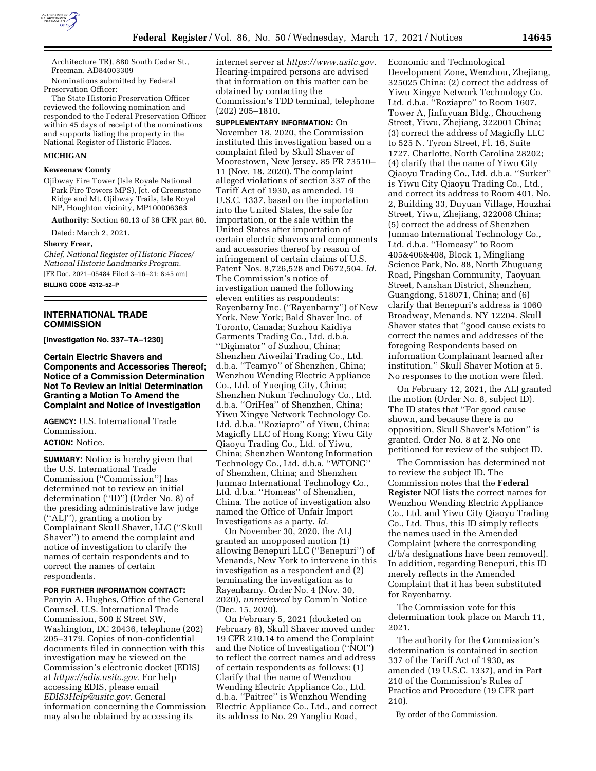

Architecture TR), 880 South Cedar St., Freeman, AD84003309

Nominations submitted by Federal Preservation Officer:

The State Historic Preservation Officer reviewed the following nomination and responded to the Federal Preservation Officer within 45 days of receipt of the nominations and supports listing the property in the National Register of Historic Places.

#### **MICHIGAN**

### **Keweenaw County**

Ojibway Fire Tower (Isle Royale National Park Fire Towers MPS), Jct. of Greenstone Ridge and Mt. Ojibway Trails, Isle Royal NP, Houghton vicinity, MP100006363

**Authority:** Section 60.13 of 36 CFR part 60.

Dated: March 2, 2021.

#### **Sherry Frear,**

*Chief, National Register of Historic Places/ National Historic Landmarks Program.*  [FR Doc. 2021–05484 Filed 3–16–21; 8:45 am] **BILLING CODE 4312–52–P** 

**INTERNATIONAL TRADE COMMISSION** 

**[Investigation No. 337–TA–1230]** 

**Certain Electric Shavers and Components and Accessories Thereof; Notice of a Commission Determination Not To Review an Initial Determination Granting a Motion To Amend the Complaint and Notice of Investigation** 

**AGENCY:** U.S. International Trade Commission.

# **ACTION:** Notice.

**SUMMARY:** Notice is hereby given that the U.S. International Trade Commission (''Commission'') has determined not to review an initial determination (''ID'') (Order No. 8) of the presiding administrative law judge (''ALJ''), granting a motion by Complainant Skull Shaver, LLC (''Skull Shaver'') to amend the complaint and notice of investigation to clarify the names of certain respondents and to correct the names of certain respondents.

#### **FOR FURTHER INFORMATION CONTACT:**

Panyin A. Hughes, Office of the General Counsel, U.S. International Trade Commission, 500 E Street SW, Washington, DC 20436, telephone (202) 205–3179. Copies of non-confidential documents filed in connection with this investigation may be viewed on the Commission's electronic docket (EDIS) at *[https://edis.usitc.gov.](https://edis.usitc.gov)* For help accessing EDIS, please email *[EDIS3Help@usitc.gov.](mailto:EDIS3Help@usitc.gov)* General information concerning the Commission may also be obtained by accessing its

internet server at *[https://www.usitc.gov.](https://www.usitc.gov)*  Hearing-impaired persons are advised that information on this matter can be obtained by contacting the Commission's TDD terminal, telephone (202) 205–1810.

**SUPPLEMENTARY INFORMATION:** On November 18, 2020, the Commission instituted this investigation based on a complaint filed by Skull Shaver of Moorestown, New Jersey. 85 FR 73510– 11 (Nov. 18, 2020). The complaint alleged violations of section 337 of the Tariff Act of 1930, as amended, 19 U.S.C. 1337, based on the importation into the United States, the sale for importation, or the sale within the United States after importation of certain electric shavers and components and accessories thereof by reason of infringement of certain claims of U.S. Patent Nos. 8,726,528 and D672,504. *Id.*  The Commission's notice of investigation named the following eleven entities as respondents: Rayenbarny Inc. (''Rayenbarny'') of New York, New York; Bald Shaver Inc. of Toronto, Canada; Suzhou Kaidiya Garments Trading Co., Ltd. d.b.a. ''Digimator'' of Suzhou, China; Shenzhen Aiweilai Trading Co., Ltd. d.b.a. ''Teamyo'' of Shenzhen, China; Wenzhou Wending Electric Appliance Co., Ltd. of Yueqing City, China; Shenzhen Nukun Technology Co., Ltd. d.b.a. ''OriHea'' of Shenzhen, China; Yiwu Xingye Network Technology Co. Ltd. d.b.a. ''Roziapro'' of Yiwu, China; Magicfly LLC of Hong Kong; Yiwu City Qiaoyu Trading Co., Ltd. of Yiwu, China; Shenzhen Wantong Information Technology Co., Ltd. d.b.a. ''WTONG'' of Shenzhen, China; and Shenzhen Junmao International Technology Co., Ltd. d.b.a. ''Homeas'' of Shenzhen, China. The notice of investigation also named the Office of Unfair Import Investigations as a party. *Id.* 

On November 30, 2020, the ALJ granted an unopposed motion (1) allowing Benepuri LLC (''Benepuri'') of Menands, New York to intervene in this investigation as a respondent and (2) terminating the investigation as to Rayenbarny. Order No. 4 (Nov. 30, 2020), *unreviewed* by Comm'n Notice (Dec. 15, 2020).

On February 5, 2021 (docketed on February 8), Skull Shaver moved under 19 CFR 210.14 to amend the Complaint and the Notice of Investigation (''NOI'') to reflect the correct names and address of certain respondents as follows: (1) Clarify that the name of Wenzhou Wending Electric Appliance Co., Ltd. d.b.a. ''Paitree'' is Wenzhou Wending Electric Appliance Co., Ltd., and correct its address to No. 29 Yangliu Road,

Economic and Technological Development Zone, Wenzhou, Zhejiang, 325025 China; (2) correct the address of Yiwu Xingye Network Technology Co. Ltd. d.b.a. ''Roziapro'' to Room 1607, Tower A, Jinfuyuan Bldg., Choucheng Street, Yiwu, Zhejiang, 322001 China; (3) correct the address of Magicfly LLC to 525 N. Tyron Street, Fl. 16, Suite 1727, Charlotte, North Carolina 28202; (4) clarify that the name of Yiwu City Qiaoyu Trading Co., Ltd. d.b.a. ''Surker'' is Yiwu City Qiaoyu Trading Co., Ltd., and correct its address to Room 401, No. 2, Building 33, Duyuan Village, Houzhai Street, Yiwu, Zhejiang, 322008 China; (5) correct the address of Shenzhen Junmao International Technology Co., Ltd. d.b.a. ''Homeasy'' to Room 405&406&408, Block 1, Mingliang Science Park, No. 88, North Zhuguang Road, Pingshan Community, Taoyuan Street, Nanshan District, Shenzhen, Guangdong, 518071, China; and (6) clarify that Benepuri's address is 1060 Broadway, Menands, NY 12204. Skull Shaver states that ''good cause exists to correct the names and addresses of the foregoing Respondents based on information Complainant learned after institution.'' Skull Shaver Motion at 5. No responses to the motion were filed.

On February 12, 2021, the ALJ granted the motion (Order No. 8, subject ID). The ID states that ''For good cause shown, and because there is no opposition, Skull Shaver's Motion'' is granted. Order No. 8 at 2. No one petitioned for review of the subject ID.

The Commission has determined not to review the subject ID. The Commission notes that the **Federal Register** NOI lists the correct names for Wenzhou Wending Electric Appliance Co., Ltd. and Yiwu City Qiaoyu Trading Co., Ltd. Thus, this ID simply reflects the names used in the Amended Complaint (where the corresponding d/b/a designations have been removed). In addition, regarding Benepuri, this ID merely reflects in the Amended Complaint that it has been substituted for Rayenbarny.

The Commission vote for this determination took place on March 11, 2021.

The authority for the Commission's determination is contained in section 337 of the Tariff Act of 1930, as amended (19 U.S.C. 1337), and in Part 210 of the Commission's Rules of Practice and Procedure (19 CFR part 210).

By order of the Commission.